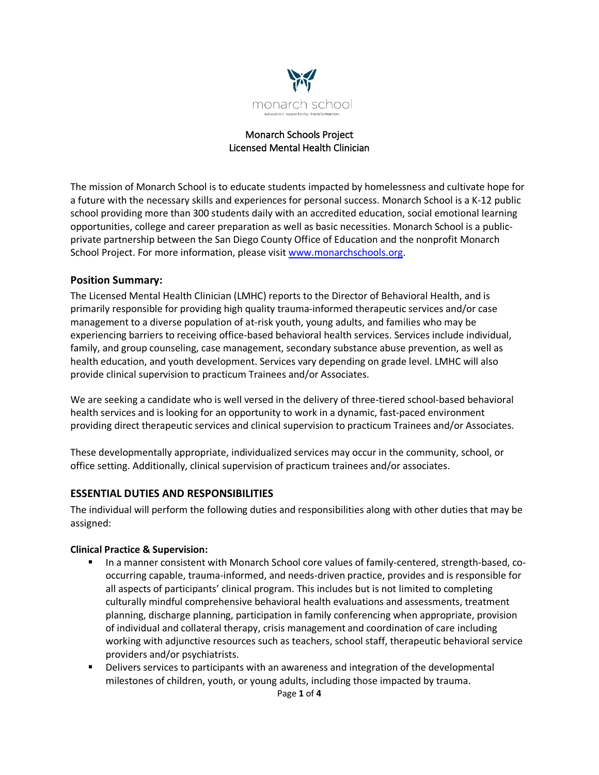

#### Monarch Schools Project Licensed Mental Health Clinician

The mission of Monarch School is to educate students impacted by homelessness and cultivate hope for a future with the necessary skills and experiences for personal success. Monarch School is a K-12 public school providing more than 300 students daily with an accredited education, social emotional learning opportunities, college and career preparation as well as basic necessities. Monarch School is a publicprivate partnership between the San Diego County Office of Education and the nonprofit Monarch School Project. For more information, please visit www.monarchschools.org.

### **Position Summary:**

The Licensed Mental Health Clinician (LMHC) reports to the Director of Behavioral Health, and is primarily responsible for providing high quality trauma-informed therapeutic services and/or case management to a diverse population of at-risk youth, young adults, and families who may be experiencing barriers to receiving office-based behavioral health services. Services include individual, family, and group counseling, case management, secondary substance abuse prevention, as well as health education, and youth development. Services vary depending on grade level. LMHC will also provide clinical supervision to practicum Trainees and/or Associates.

We are seeking a candidate who is well versed in the delivery of three-tiered school-based behavioral health services and is looking for an opportunity to work in a dynamic, fast-paced environment providing direct therapeutic services and clinical supervision to practicum Trainees and/or Associates.

These developmentally appropriate, individualized services may occur in the community, school, or office setting. Additionally, clinical supervision of practicum trainees and/or associates.

### **ESSENTIAL DUTIES AND RESPONSIBILITIES**

The individual will perform the following duties and responsibilities along with other duties that may be assigned:

#### **Clinical Practice & Supervision:**

- In a manner consistent with Monarch School core values of family-centered, strength-based, cooccurring capable, trauma-informed, and needs-driven practice, provides and is responsible for all aspects of participants' clinical program. This includes but is not limited to completing culturally mindful comprehensive behavioral health evaluations and assessments, treatment planning, discharge planning, participation in family conferencing when appropriate, provision of individual and collateral therapy, crisis management and coordination of care including working with adjunctive resources such as teachers, school staff, therapeutic behavioral service providers and/or psychiatrists.
- **•** Delivers services to participants with an awareness and integration of the developmental milestones of children, youth, or young adults, including those impacted by trauma.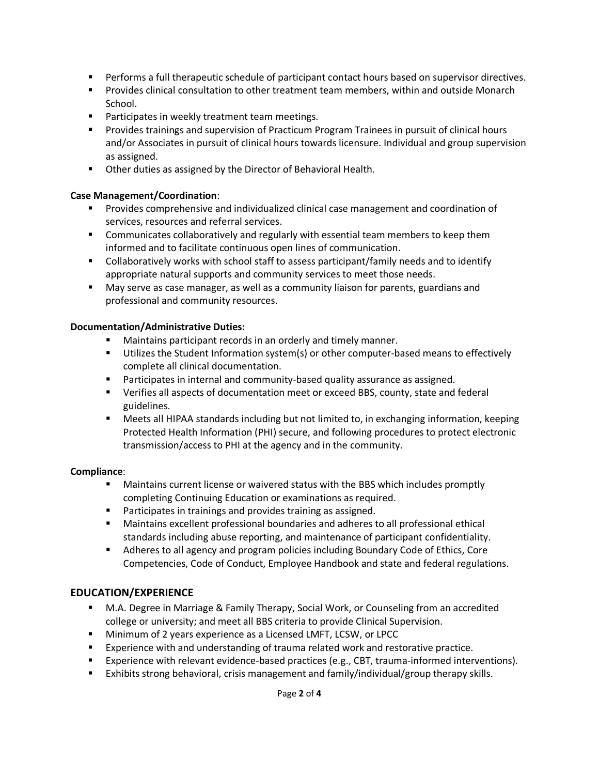- Performs a full therapeutic schedule of participant contact hours based on supervisor directives.
- Provides clinical consultation to other treatment team members, within and outside Monarch School.
- Participates in weekly treatment team meetings.
- § Provides trainings and supervision of Practicum Program Trainees in pursuit of clinical hours and/or Associates in pursuit of clinical hours towards licensure. Individual and group supervision as assigned.
- Other duties as assigned by the Director of Behavioral Health.

### **Case Management/Coordination**:

- **•** Provides comprehensive and individualized clinical case management and coordination of services, resources and referral services.
- Communicates collaboratively and regularly with essential team members to keep them informed and to facilitate continuous open lines of communication.
- Collaboratively works with school staff to assess participant/family needs and to identify appropriate natural supports and community services to meet those needs.
- § May serve as case manager, as well as a community liaison for parents, guardians and professional and community resources.

#### **Documentation/Administrative Duties:**

- Maintains participant records in an orderly and timely manner.
- Utilizes the Student Information system(s) or other computer-based means to effectively complete all clinical documentation.
- Participates in internal and community-based quality assurance as assigned.
- Verifies all aspects of documentation meet or exceed BBS, county, state and federal guidelines.
- Meets all HIPAA standards including but not limited to, in exchanging information, keeping Protected Health Information (PHI) secure, and following procedures to protect electronic transmission/access to PHI at the agency and in the community.

### **Compliance**:

- Maintains current license or waivered status with the BBS which includes promptly completing Continuing Education or examinations as required.
- Participates in trainings and provides training as assigned.
- Maintains excellent professional boundaries and adheres to all professional ethical standards including abuse reporting, and maintenance of participant confidentiality.
- Adheres to all agency and program policies including Boundary Code of Ethics, Core Competencies, Code of Conduct, Employee Handbook and state and federal regulations.

# **EDUCATION/EXPERIENCE**

- § M.A. Degree in Marriage & Family Therapy, Social Work, or Counseling from an accredited college or university; and meet all BBS criteria to provide Clinical Supervision.
- **Minimum of 2 years experience as a Licensed LMFT, LCSW, or LPCC**
- Experience with and understanding of trauma related work and restorative practice.
- Experience with relevant evidence-based practices (e.g., CBT, trauma-informed interventions).
- Exhibits strong behavioral, crisis management and family/individual/group therapy skills.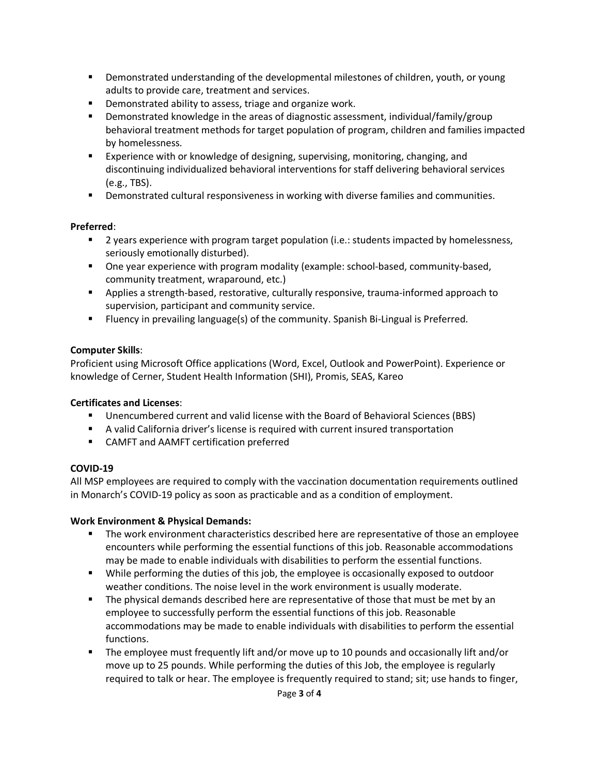- § Demonstrated understanding of the developmental milestones of children, youth, or young adults to provide care, treatment and services.
- Demonstrated ability to assess, triage and organize work.
- § Demonstrated knowledge in the areas of diagnostic assessment, individual/family/group behavioral treatment methods for target population of program, children and families impacted by homelessness.
- Experience with or knowledge of designing, supervising, monitoring, changing, and discontinuing individualized behavioral interventions for staff delivering behavioral services (e.g., TBS).
- **•** Demonstrated cultural responsiveness in working with diverse families and communities.

### **Preferred**:

- 2 years experience with program target population (i.e.: students impacted by homelessness, seriously emotionally disturbed).
- One year experience with program modality (example: school-based, community-based, community treatment, wraparound, etc.)
- § Applies a strength-based, restorative, culturally responsive, trauma-informed approach to supervision, participant and community service.
- § Fluency in prevailing language(s) of the community. Spanish Bi-Lingual is Preferred.

### **Computer Skills**:

Proficient using Microsoft Office applications (Word, Excel, Outlook and PowerPoint). Experience or knowledge of Cerner, Student Health Information (SHI), Promis, SEAS, Kareo

### **Certificates and Licenses**:

- Unencumbered current and valid license with the Board of Behavioral Sciences (BBS)
- A valid California driver's license is required with current insured transportation
- CAMFT and AAMFT certification preferred

### **COVID-19**

All MSP employees are required to comply with the vaccination documentation requirements outlined in Monarch's COVID-19 policy as soon as practicable and as a condition of employment.

### **Work Environment & Physical Demands:**

- The work environment characteristics described here are representative of those an employee encounters while performing the essential functions of this job. Reasonable accommodations may be made to enable individuals with disabilities to perform the essential functions.
- § While performing the duties of this job, the employee is occasionally exposed to outdoor weather conditions. The noise level in the work environment is usually moderate.
- **•** The physical demands described here are representative of those that must be met by an employee to successfully perform the essential functions of this job. Reasonable accommodations may be made to enable individuals with disabilities to perform the essential functions.
- § The employee must frequently lift and/or move up to 10 pounds and occasionally lift and/or move up to 25 pounds. While performing the duties of this Job, the employee is regularly required to talk or hear. The employee is frequently required to stand; sit; use hands to finger,